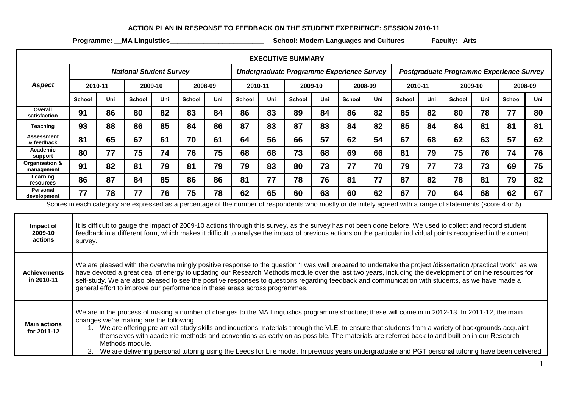## **ACTION PLAN IN RESPONSE TO FEEDBACK ON THE STUDENT EXPERIENCE: SESSION 2010-11**

**Programme: \_\_MA Linguistics\_\_\_\_\_\_\_\_\_\_\_\_\_\_\_\_\_\_\_\_\_\_\_\_\_ School: Modern Languages and Cultures Faculty: Arts**

| <b>EXECUTIVE SUMMARY</b>                                                                                                                                     |                                                                                                                                                                                                                                                                                                                                                                                                                                                                                                                                                                                                                                                         |     |               |     |               |                                           |               |     |               |     |                                          |     |         |     |               |     |               |     |
|--------------------------------------------------------------------------------------------------------------------------------------------------------------|---------------------------------------------------------------------------------------------------------------------------------------------------------------------------------------------------------------------------------------------------------------------------------------------------------------------------------------------------------------------------------------------------------------------------------------------------------------------------------------------------------------------------------------------------------------------------------------------------------------------------------------------------------|-----|---------------|-----|---------------|-------------------------------------------|---------------|-----|---------------|-----|------------------------------------------|-----|---------|-----|---------------|-----|---------------|-----|
|                                                                                                                                                              | <b>National Student Survey</b>                                                                                                                                                                                                                                                                                                                                                                                                                                                                                                                                                                                                                          |     |               |     |               | Undergraduate Programme Experience Survey |               |     |               |     | Postgraduate Programme Experience Survey |     |         |     |               |     |               |     |
| <b>Aspect</b>                                                                                                                                                | 2010-11                                                                                                                                                                                                                                                                                                                                                                                                                                                                                                                                                                                                                                                 |     | 2009-10       |     | 2008-09       |                                           | 2010-11       |     | 2009-10       |     | 2008-09                                  |     | 2010-11 |     | 2009-10       |     | 2008-09       |     |
|                                                                                                                                                              | <b>School</b>                                                                                                                                                                                                                                                                                                                                                                                                                                                                                                                                                                                                                                           | Uni | <b>School</b> | Uni | <b>School</b> | Uni                                       | <b>School</b> | Uni | <b>School</b> | Uni | School                                   | Uni | School  | Uni | <b>School</b> | Uni | <b>School</b> | Uni |
| Overall<br>satisfaction                                                                                                                                      | 91                                                                                                                                                                                                                                                                                                                                                                                                                                                                                                                                                                                                                                                      | 86  | 80            | 82  | 83            | 84                                        | 86            | 83  | 89            | 84  | 86                                       | 82  | 85      | 82  | 80            | 78  | 77            | 80  |
| Teaching                                                                                                                                                     | 93                                                                                                                                                                                                                                                                                                                                                                                                                                                                                                                                                                                                                                                      | 88  | 86            | 85  | 84            | 86                                        | 87            | 83  | 87            | 83  | 84                                       | 82  | 85      | 84  | 84            | 81  | 81            | 81  |
| Assessment<br>& feedback                                                                                                                                     | 81                                                                                                                                                                                                                                                                                                                                                                                                                                                                                                                                                                                                                                                      | 65  | 67            | 61  | 70            | 61                                        | 64            | 56  | 66            | 57  | 62                                       | 54  | 67      | 68  | 62            | 63  | 57            | 62  |
| Academic<br>support                                                                                                                                          | 80                                                                                                                                                                                                                                                                                                                                                                                                                                                                                                                                                                                                                                                      | 77  | 75            | 74  | 76            | 75                                        | 68            | 68  | 73            | 68  | 69                                       | 66  | 81      | 79  | 75            | 76  | 74            | 76  |
| Organisation &<br>management                                                                                                                                 | 91                                                                                                                                                                                                                                                                                                                                                                                                                                                                                                                                                                                                                                                      | 82  | 81            | 79  | 81            | 79                                        | 79            | 83  | 80            | 73  | 77                                       | 70  | 79      | 77  | 73            | 73  | 69            | 75  |
| Learning<br>resources                                                                                                                                        | 86                                                                                                                                                                                                                                                                                                                                                                                                                                                                                                                                                                                                                                                      | 87  | 84            | 85  | 86            | 86                                        | 81            | 77  | 78            | 76  | 81                                       | 77  | 87      | 82  | 78            | 81  | 79            | 82  |
| Personal<br>development                                                                                                                                      | 77                                                                                                                                                                                                                                                                                                                                                                                                                                                                                                                                                                                                                                                      | 78  | 77            | 76  | 75            | 78                                        | 62            | 65  | 60            | 63  | 60                                       | 62  | 67      | 70  | 64            | 68  | 62            | 67  |
| Scores in each category are expressed as a percentage of the number of respondents who mostly or definitely agreed with a range of statements (score 4 or 5) |                                                                                                                                                                                                                                                                                                                                                                                                                                                                                                                                                                                                                                                         |     |               |     |               |                                           |               |     |               |     |                                          |     |         |     |               |     |               |     |
| Impact of<br>2009-10<br>actions                                                                                                                              | It is difficult to gauge the impact of 2009-10 actions through this survey, as the survey has not been done before. We used to collect and record student<br>feedback in a different form, which makes it difficult to analyse the impact of previous actions on the particular individual points recognised in the current<br>survey.                                                                                                                                                                                                                                                                                                                  |     |               |     |               |                                           |               |     |               |     |                                          |     |         |     |               |     |               |     |
| <b>Achievements</b><br>in 2010-11                                                                                                                            | We are pleased with the overwhelmingly positive response to the question 'I was well prepared to undertake the project /dissertation /practical work', as we<br>have devoted a great deal of energy to updating our Research Methods module over the last two years, including the development of online resources for<br>self-study. We are also pleased to see the positive responses to questions regarding feedback and communication with students, as we have made a<br>general effort to improve our performance in these areas across programmes.                                                                                               |     |               |     |               |                                           |               |     |               |     |                                          |     |         |     |               |     |               |     |
| <b>Main actions</b><br>for 2011-12                                                                                                                           | We are in the process of making a number of changes to the MA Linguistics programme structure; these will come in in 2012-13. In 2011-12, the main<br>changes we're making are the following.<br>1. We are offering pre-arrival study skills and inductions materials through the VLE, to ensure that students from a variety of backgrounds acquaint<br>themselves with academic methods and conventions as early on as possible. The materials are referred back to and built on in our Research<br>Methods module.<br>$\mathbf{r}$ , and $\mathbf{r}$ , and $\mathbf{r}$ , and $\mathbf{r}$ , and $\mathbf{r}$ , and $\mathbf{r}$ , and $\mathbf{r}$ |     |               |     |               |                                           |               |     |               |     |                                          |     |         |     |               |     |               |     |

2. We are delivering personal tutoring using the Leeds for Life model. In previous years undergraduate and PGT personal tutoring have been delivered  $\mathbf{I}$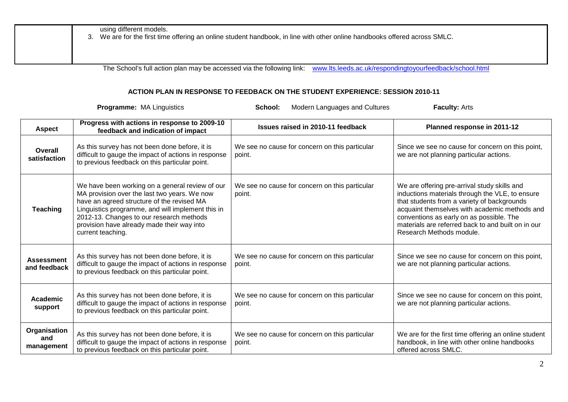| using different models.<br>3. We are for the first time offering an online student handbook, in line with other online handbooks offered across SMLC. |
|-------------------------------------------------------------------------------------------------------------------------------------------------------|
|                                                                                                                                                       |

The School's full action plan may be accessed via the following link: [www.lts.leeds.ac.uk/respondingtoyourfeedback/school.html](http://www.lts.leeds.ac.uk/respondingtoyourfeedback/school.html)

## **ACTION PLAN IN RESPONSE TO FEEDBACK ON THE STUDENT EXPERIENCE: SESSION 2010-11**

**Programme:** MA Linguistics **School:** Modern Languages and Cultures **Faculty:** Arts

| Aspect                            | Progress with actions in response to 2009-10<br>feedback and indication of impact                                                                                                                                                                                                                                 | Issues raised in 2010-11 feedback                        | Planned response in 2011-12                                                                                                                                                                                                                                                                                                   |
|-----------------------------------|-------------------------------------------------------------------------------------------------------------------------------------------------------------------------------------------------------------------------------------------------------------------------------------------------------------------|----------------------------------------------------------|-------------------------------------------------------------------------------------------------------------------------------------------------------------------------------------------------------------------------------------------------------------------------------------------------------------------------------|
| Overall<br>satisfaction           | As this survey has not been done before, it is<br>difficult to gauge the impact of actions in response<br>to previous feedback on this particular point.                                                                                                                                                          | We see no cause for concern on this particular<br>point. | Since we see no cause for concern on this point,<br>we are not planning particular actions.                                                                                                                                                                                                                                   |
| <b>Teaching</b>                   | We have been working on a general review of our<br>MA provision over the last two years. We now<br>have an agreed structure of the revised MA<br>Linguistics programme, and will implement this in<br>2012-13. Changes to our research methods<br>provision have already made their way into<br>current teaching. | We see no cause for concern on this particular<br>point. | We are offering pre-arrival study skills and<br>inductions materials through the VLE, to ensure<br>that students from a variety of backgrounds<br>acquaint themselves with academic methods and<br>conventions as early on as possible. The<br>materials are referred back to and built on in our<br>Research Methods module. |
| <b>Assessment</b><br>and feedback | As this survey has not been done before, it is<br>difficult to gauge the impact of actions in response<br>to previous feedback on this particular point.                                                                                                                                                          | We see no cause for concern on this particular<br>point. | Since we see no cause for concern on this point,<br>we are not planning particular actions.                                                                                                                                                                                                                                   |
| Academic<br>support               | As this survey has not been done before, it is<br>difficult to gauge the impact of actions in response<br>to previous feedback on this particular point.                                                                                                                                                          | We see no cause for concern on this particular<br>point. | Since we see no cause for concern on this point,<br>we are not planning particular actions.                                                                                                                                                                                                                                   |
| Organisation<br>and<br>management | As this survey has not been done before, it is<br>difficult to gauge the impact of actions in response<br>to previous feedback on this particular point.                                                                                                                                                          | We see no cause for concern on this particular<br>point. | We are for the first time offering an online student<br>handbook, in line with other online handbooks<br>offered across SMLC.                                                                                                                                                                                                 |